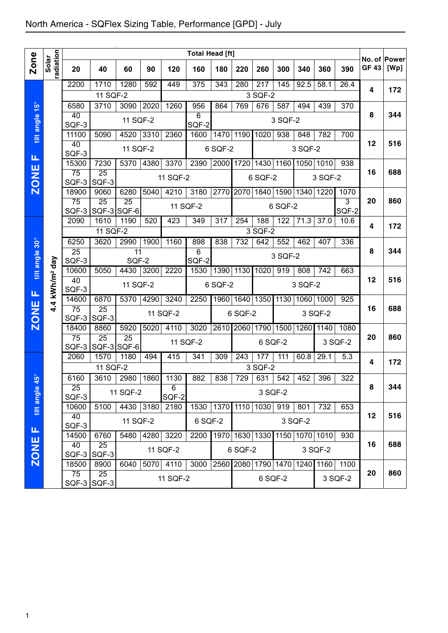|                                 |                           |                                                              |                                |                          |      |                         | <b>Total Head [ft]</b> |         |             |                |                               |                   |         |         |              |                      |
|---------------------------------|---------------------------|--------------------------------------------------------------|--------------------------------|--------------------------|------|-------------------------|------------------------|---------|-------------|----------------|-------------------------------|-------------------|---------|---------|--------------|----------------------|
| <b>Zone</b>                     | radiation<br>Solar        | 20                                                           | 40                             | 60                       | 90   | 120                     | 160                    | 180     | 220         | 260            | 300                           | 340               | 360     | 390     | <b>GF 43</b> | No. of Power<br>[Wp] |
|                                 |                           | 2200                                                         | 1710                           | 1280                     | 592  | 449                     | 375                    | 343     | 280         | 217            | 145                           | 92.5              | 58.1    | 26.4    | 4            | 172                  |
|                                 |                           |                                                              | 11 SQF-2                       |                          |      |                         |                        |         |             | 3 SQF-2        |                               |                   |         | 370     |              |                      |
| $15^{\circ}$                    |                           | 6580<br>40                                                   | 3710                           | 3090                     | 2020 | 1260                    | 956<br>$\overline{6}$  | 864     | 769         | 676            | 587                           | 494               | 439     |         | 8            | 344                  |
|                                 |                           | SQF-3                                                        |                                | 11 SQF-2                 |      |                         | SQF-2                  |         |             |                | 3 SQF-2                       |                   |         |         |              |                      |
| tilt angle                      |                           | 11100                                                        | 5090                           | 4520                     | 3310 | 2360                    | 1600                   | 1470    | 1190        | 1020           | 938                           | 848               | 782     | 700     |              |                      |
|                                 |                           | 40<br>SQF-3                                                  |                                | 11 SQF-2                 |      |                         |                        | 6 SQF-2 |             |                |                               | 3 SQF-2           |         |         | 12           | 516                  |
| Щ                               |                           | 15300                                                        | 7230                           | 5370                     | 4380 | 3370                    | 2390                   |         |             |                | 2000 1720 1430 1160 1050 1010 |                   |         | 938     |              |                      |
| <b>ZONE</b>                     |                           | 75                                                           | $\overline{25}$                |                          |      | 11 SQF-2                |                        |         |             | 6 SQF-2        |                               |                   | 3 SQF-2 |         | 16           | 688                  |
|                                 |                           | $SQF-3$ $SQF-3$<br>18900                                     | 9060                           | 6280                     | 5040 | 4210                    | 3180                   | 2770    | 2070        |                | 1840 1590                     | 1340              | 1220    | 1070    |              |                      |
|                                 |                           | 75                                                           | 25                             | $\overline{25}$          |      |                         |                        |         |             |                |                               |                   |         | 3       | 20           | 860                  |
|                                 |                           | SQF-3                                                        | SQF-3 SQF-6                    |                          |      |                         | 11 SQF-2               |         |             |                | 6 SQF-2                       |                   |         | SQF-2   |              |                      |
|                                 |                           | 2090                                                         | 1610                           | 1190                     | 520  | 423                     | 349                    | 317     | 254         | 188            | 122                           | 71.3              | 37.0    | 10.6    | 4            | 172                  |
|                                 |                           |                                                              | 11 SQF-2                       |                          |      |                         |                        |         |             | 3 SQF-2        |                               |                   |         |         |              |                      |
|                                 |                           | 6250                                                         | 3620                           | 2990                     | 1900 | 1160                    | 898                    | 838     | 732         | 642            | 552                           | 462               | 407     | 336     |              |                      |
| tilt angle 30°                  |                           | $\overline{25}$<br>SQF-3                                     |                                | $\overline{11}$<br>SQF-2 |      |                         | 6<br>SQF-2             |         |             |                | 3 SQF-2                       |                   |         |         | 8            | 344                  |
|                                 |                           | 10600                                                        | 5050                           | 4430                     | 3200 | 2220                    | 1530                   | 1390    | 1130        | 1020           | 919                           | 808               | 742     | 663     |              |                      |
| Щ                               | .4 kWh/m <sup>2</sup> day | 40<br>SQF-3                                                  |                                | 11 SQF-2                 |      |                         |                        | 6 SQF-2 |             |                |                               | 3 SQF-2           |         |         | 12           | 516                  |
|                                 |                           | 14600                                                        | 6870                           | 5370                     | 4290 | 3240                    | 2250                   |         | 1960   1640 | 1350           | 1130                          | 1060 1000         |         | 925     |              |                      |
| <b>ZONE</b>                     | ÷                         | 75<br>SQF-3 SQF-3                                            | $\overline{25}$                |                          |      | 11 SQF-2                |                        |         | 6 SQF-2     |                |                               |                   | 3 SQF-2 |         | 16           | 688                  |
|                                 |                           | 18400                                                        | 8860                           | 5920                     | 5020 | 4110                    | 3020                   | 2610    | 2060        | 1790           | 1500                          | 1260              | 1140    | 1080    |              |                      |
|                                 |                           | 75                                                           | $\overline{25}$<br>SQF-3 SQF-6 | $\overline{25}$          |      |                         | 11 SQF-2               |         |             | 6 SQF-2        |                               |                   |         | 3 SQF-2 | 20           | 860                  |
|                                 |                           | SQF-3<br>2060                                                | 1570                           | 1180                     | 494  | 415                     | 341                    | 309     | 243         | 177            | 111                           | 60.8              | 29.1    | 5.3     |              |                      |
|                                 |                           |                                                              | 11 SQF-2                       |                          |      |                         |                        |         |             | 3 SQF-2        |                               |                   |         |         | 4            | 172                  |
| $\overset{\circ}{\mathfrak{g}}$ |                           | 6160                                                         | 3610                           | 2980                     | 1860 | 1130                    | 882                    | 838     | 729         | 631            | 542                           | 452               | 396     | 322     |              |                      |
|                                 |                           | 25<br>SQF-3                                                  |                                | 11 SQF-2                 |      | $\overline{6}$<br>SQF-2 |                        |         |             | 3 SQF-2        |                               |                   |         |         | 8            | 344                  |
| tilt angle                      |                           | 10600                                                        | 5100                           | 4430 3180                |      | 2180                    | 1530 1370              |         | 1110        | 1030           | 919                           | 801               | 732     | 653     |              |                      |
|                                 |                           | 40                                                           |                                |                          |      |                         |                        |         |             |                |                               |                   |         |         | 12           | 516                  |
| Щ                               |                           | SQF-3                                                        |                                | 11 SQF-2                 |      |                         | 6 SQF-2                |         |             |                |                               | 3 SQF-2           |         |         |              |                      |
|                                 |                           | 14500                                                        | 6760                           | 5480                     | 4280 | 3220                    | 2200                   | 1970    |             |                | 1630 1330 1150 1070 1010      |                   |         | 930     |              |                      |
| <b>ZONE</b>                     |                           | 40<br>25<br>6 SQF-2<br>3 SQF-2<br>11 SQF-2<br>SQF-3<br>SQF-3 |                                |                          |      |                         |                        | 16      | 688         |                |                               |                   |         |         |              |                      |
|                                 |                           | 18500                                                        | 8900                           | 6040                     | 5070 | 4110                    | 3000                   | 2560    |             | 2080 1790 1470 |                               | $\overline{1}240$ | 1160    | 1100    |              |                      |
|                                 |                           | 75<br>25<br>11 SQF-2<br>SQF-3 SQF-3                          |                                |                          |      |                         |                        |         |             |                | 6 SQF-2                       |                   |         | 3 SQF-2 | 20           | 860                  |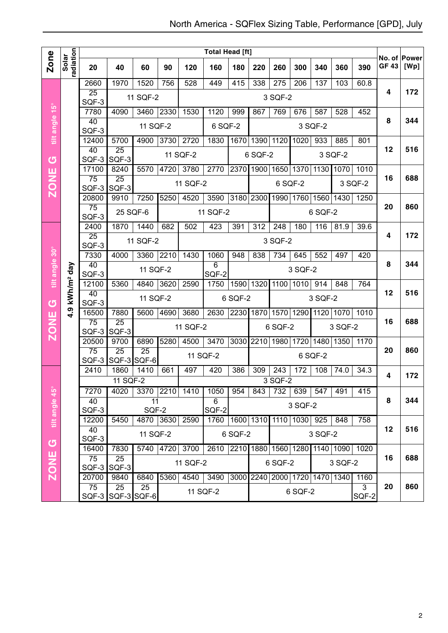|                |                        |                            |                                                   |                              |                   |            | <b>Total Head [ft]</b>                 |           |           |           |         |         |                                    |         |              | No. of Power |
|----------------|------------------------|----------------------------|---------------------------------------------------|------------------------------|-------------------|------------|----------------------------------------|-----------|-----------|-----------|---------|---------|------------------------------------|---------|--------------|--------------|
| Zone           | radiation<br>Solar     | 20                         | 40                                                | 60                           | 90                | 120        | 160                                    | 180       | 220       | 260       | 300     | 340     | 360                                | 390     | <b>GF 43</b> | [Wp]         |
|                |                        | 2660                       | 1970                                              | 1520                         | 756               | 528        | 449                                    | 415       | 338       | 275       | 206     | 137     | 103                                | 60.8    |              |              |
|                |                        | 25<br>SQF-3                |                                                   | 11 SQF-2                     |                   |            |                                        |           |           | 3 SQF-2   |         |         |                                    |         | 4            | 172          |
|                |                        | 7780                       | 4090                                              | 3460                         | 2330              | 1530       | 1120                                   | 999       | 867       | 769       | 676     | 587     | 528                                | 452     |              |              |
| tilt angle 15° |                        | 40                         |                                                   | 11 SQF-2                     |                   |            | 6 SQF-2                                |           |           |           |         | 3 SQF-2 |                                    |         | 8            | 344          |
|                |                        | SQF-3<br>12400             | 5700                                              | 4900                         | 3730              | 2720       | 1830                                   | 1670      |           | 1390 1120 | 1020    | 933     | 885                                | 801     |              |              |
|                |                        | 40                         | $\overline{25}$                                   |                              |                   |            |                                        |           |           |           |         |         |                                    |         | 12           | 516          |
| $\overline{G}$ |                        | SQF-3 SQF-3                |                                                   |                              |                   | 11 SQF-2   |                                        |           | 6 SQF-2   |           |         |         | 3 SQF-2                            |         |              |              |
| ш              |                        | 17100                      | 8240                                              | 5570                         | 4720              | 3780       | 2770                                   | 2370      | 1900      | 1650      | 1370    | 1130    | 1070                               | 1010    |              |              |
| <b>ZON</b>     |                        | $\overline{75}$<br>SQF-3   | 25<br>SQF-3                                       |                              |                   | 11 SQF-2   |                                        |           |           |           | 6 SQF-2 |         |                                    | 3 SQF-2 | 16           | 688          |
|                |                        | 20800                      | 9910                                              | 7250                         | 5250              | 4520       | 3590                                   |           | 3180 2300 | 1990      | 1760    |         | 1560 1430                          | 1250    |              |              |
|                |                        | 75                         |                                                   |                              |                   |            |                                        |           |           |           |         |         |                                    |         | 20           | 860          |
|                |                        | SQF-3                      | 25 SQF-6                                          |                              |                   |            | 11 SQF-2                               |           |           |           |         | 6 SQF-2 |                                    |         |              |              |
|                |                        | 2400                       | 1870                                              | 1440                         | 682               | 502        | 423                                    | 391       | 312       | 248       | 180     | 116     | 81.9                               | 39.6    | 4            | 172          |
|                |                        | 25<br>SQF-3                |                                                   | 11 SQF-2                     |                   |            |                                        |           |           | 3 SQF-2   |         |         |                                    |         |              |              |
|                |                        | 7330                       | 4000                                              | 3360                         | 2210              | 1430       | 1060                                   | 948       | 838       | 734       | 645     | 552     | 497                                | 420     |              |              |
|                |                        | 40                         |                                                   | 11 SQF-2                     |                   |            | 6                                      |           |           |           | 3 SQF-2 |         |                                    |         | 8            | 344          |
| tilt angle 30° |                        | SQF-3                      |                                                   |                              |                   |            | SQF-2                                  |           |           |           |         |         |                                    |         |              |              |
|                | kWh/m <sup>2</sup> day | 12100<br>40                | 5360                                              | 4840                         | 3620              | 2590       | 1750                                   | 1590      | 1320      | 1100      | 1010    | 914     | 848                                | 764     | 12           | 516          |
| <mark>ු</mark> |                        | SQF-3                      |                                                   | 11 SQF-2                     |                   |            |                                        | 6 SQF-2   |           |           |         | 3 SQF-2 |                                    |         |              |              |
|                | $\frac{1}{9}$          | 16500                      | 7880                                              | 5600                         | 4690              | 3680       | 2630                                   | 2230 1870 |           | 1570      | 1290    |         | 1120 1070                          | 1010    |              |              |
| <b>ZONE</b>    |                        | 75                         | $\overline{25}$                                   |                              |                   | 11 SQF-2   |                                        |           |           | 6 SQF-2   |         |         | 3 SQF-2                            |         | 16           | 688          |
|                |                        | 20500                      | SQF-3 SQF-3<br>9700                               | 6890                         | 5280              | 4500       | 3470                                   | 3030 2210 |           | 1980 1720 |         | 1480    | 1350                               | 1170    |              |              |
|                |                        | 75                         | $\overline{25}$                                   | 25                           |                   |            |                                        |           |           |           |         |         |                                    |         | 20           | 860          |
|                |                        | SQF-3                      | SQF-3 SQF-6                                       |                              |                   |            | 11 SQF-2                               |           |           |           |         | 6 SQF-2 |                                    |         |              |              |
|                |                        | 2410                       | 1860                                              | 1410                         | 661               | 497        | 420                                    | 386       | 309       | 243       | 172     | 108     | 74.0                               | 34.3    | 4            | 172          |
|                |                        |                            | 11 SQF-2                                          |                              |                   |            |                                        |           |           | 3 SQF-2   |         |         |                                    |         |              |              |
|                |                        | 7270                       | 4020                                              | 3370 2210<br>$\overline{11}$ |                   | 1410       | 1050                                   | 954       | 843       | 732       | 639     | 547     | 491                                | 415     | 8            | 344          |
|                |                        | 40<br>SQF-3                |                                                   | SQF-2                        |                   | 6<br>SQF-2 |                                        |           |           | 3 SQF-2   |         |         |                                    |         |              |              |
| tilt angle 45° |                        | 12200                      | 5450                                              | 4870 3630                    |                   | 2590       | 1760   1600   1310   1110   1030   925 |           |           |           |         |         | 848                                | 758     |              |              |
|                |                        | 40                         |                                                   | 11 SQF-2                     |                   |            | 6 SQF-2                                |           |           |           | 3 SQF-2 |         |                                    | 12      | 516          |              |
| <u>ය</u>       |                        | SQF-3                      |                                                   |                              |                   |            | 2610                                   |           |           |           |         |         |                                    |         |              |              |
| щ              |                        | 16400<br>75                | 7830<br>25                                        |                              | 5740 4720<br>3700 |            |                                        |           |           |           |         |         | 2210 1880 1560 1280 1140 1090 1020 |         | 16           | 688          |
| ZONI           |                        | 11 SQF-2<br>SQF-3<br>SQF-3 |                                                   |                              |                   |            |                                        |           |           | 6 SQF-2   |         |         | 3 SQF-2                            |         |              |              |
|                |                        | 20700                      | 9840                                              | 6840                         | 5360              | 4540       | 3490                                   |           |           |           |         |         | 3000 2240 2000 1720 1470 1340 1160 |         |              |              |
|                |                        | 75                         | 25                                                | 25                           |                   |            |                                        |           |           |           |         |         |                                    | 3       | 20           | 860          |
|                |                        |                            | 11 SQF-2<br>6 SQF-2<br>SQF-3 SQF-3 SQF-6<br>SQF-2 |                              |                   |            |                                        |           |           |           |         |         |                                    |         |              |              |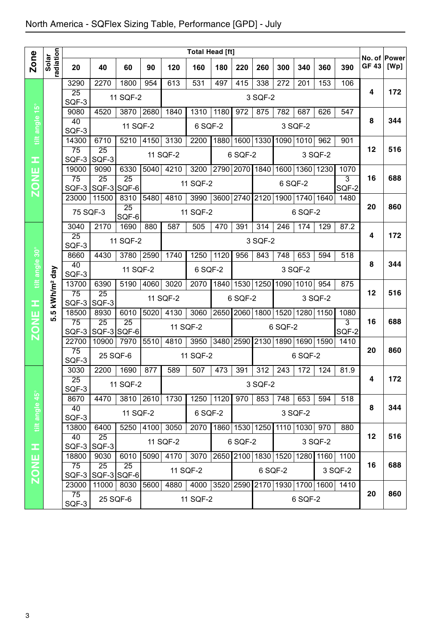|                |                        |                          |                         |                          |              |          | <b>Total Head [ft]</b> |      |           |                |         |                               |         |            |             | No. of Power |
|----------------|------------------------|--------------------------|-------------------------|--------------------------|--------------|----------|------------------------|------|-----------|----------------|---------|-------------------------------|---------|------------|-------------|--------------|
| <b>Zone</b>    | radiation<br>Solar     | 20                       | 40                      | 60                       | 90           | 120      | 160                    | 180  | 220       | 260            | 300     | 340                           | 360     | 390        | <b>GF43</b> | [Wp]         |
|                |                        | 3290                     | 2270                    | 1800                     | 954          | 613      | 531                    | 497  | 415       | 338            | 272     | 201                           | 153     | 106        |             |              |
|                |                        | $\overline{25}$<br>SQF-3 |                         | 11 SQF-2                 |              |          |                        |      |           | 3 SQF-2        |         |                               |         |            | 4           | 172          |
|                |                        | 9080                     | 4520                    | 3870                     | 2680         | 1840     | 1310                   | 1180 | 972       | 875            | 782     | 687                           | 626     | 547        |             |              |
|                |                        | 40                       |                         | 11 SQF-2                 |              |          | 6 SQF-2                |      |           |                |         | 3 SQF-2                       |         |            | 8           | 344          |
| tilt angle 15° |                        | SQF-3<br>14300           | 6710                    | 5210                     | 4150         | 3130     | 2200                   | 1880 |           | 1600 1330      |         | 1090 1010                     | 962     | 901        |             |              |
|                |                        | $\overline{75}$          | $\overline{25}$         |                          |              |          |                        |      |           |                |         |                               |         |            | 12          | 516          |
| œ              |                        | SQF-3                    | SQF-3                   |                          |              | 11 SQF-2 |                        |      | 6 SQF-2   |                |         |                               | 3 SQF-2 |            |             |              |
| ш              |                        | 19000<br>75              | 9090<br>$\overline{25}$ | 6330<br>$\overline{25}$  | 5040         | 4210     | 3200                   | 2790 |           | 2070 1840      |         | 1600   1360                   | 1230    | 1070<br>3  | 16          | 688          |
| ZON            |                        |                          | SQF-3 SQF-3 SQF-6       |                          |              |          | 11 SQF-2               |      |           |                |         | 6 SQF-2                       |         | SQF-2      |             |              |
|                |                        | 23000                    | 11500                   | 8310                     | 5480         | 4810     | 3990                   | 3600 | 2740 2120 |                | 1900    | 1740                          | 1640    | 1480       |             |              |
|                |                        | 75 SQF-3                 |                         | $\overline{25}$<br>SQF-6 |              |          | 11 SQF-2               |      |           |                |         | 6 SQF-2                       |         |            | 20          | 860          |
|                |                        | 3040                     | 2170                    | 1690                     | 880          | 587      | 505                    | 470  | 391       | 314            | 246     | 174                           | 129     | 87.2       |             |              |
|                |                        | $\overline{25}$          |                         | 11 SQF-2                 |              |          |                        |      |           | 3 SQF-2        |         |                               |         |            | 4           | 172          |
|                |                        | SQF-3<br>8660            | 4430                    | 3780                     | <b>12590</b> | 1740     | 1250                   | 1120 | 956       | 843            | 748     | 653                           | 594     | 518        |             |              |
| tilt angle 30° |                        | 40                       |                         | 11 SQF-2                 |              |          | 6 SQF-2                |      |           |                |         | 3 SQF-2                       |         |            | 8           | 344          |
|                |                        | SQF-3                    |                         |                          |              |          |                        |      |           |                |         |                               |         |            |             |              |
|                | kWh/m <sup>2</sup> day | 13700<br>75              | 6390<br>$\overline{25}$ | 5190                     | 4060         | 3020     | 2070                   | 1840 | 1530      | 1250           | 1090    | 1010                          | 954     | 875        | 12          | 516          |
| Ŧ              |                        | SQF-3                    | SQF-3                   |                          |              | 11 SQF-2 |                        |      | 6 SQF-2   |                |         |                               | 3 SQF-2 |            |             |              |
|                | LO<br>5                | 18500                    | 8930                    | 6010                     | 5020         | 4130     | 3060                   | 2650 |           | 2060 1800      | 1520    | 1280                          | 1150    | 1080       |             |              |
| <b>ZONE</b>    |                        | 75<br>SQF-3              | 25<br>SQF-3 SQF-6       | 25                       |              |          | 11 SQF-2               |      |           |                | 6 SQF-2 |                               |         | 3<br>SQF-2 | 16          | 688          |
|                |                        | 22700                    | 10900                   | 7970                     | 5510         | 4810     | 3950                   | 3480 |           | 2590 2130      |         | 1890 1690 1590                |         | 1410       |             |              |
|                |                        | 75                       | 25 SQF-6                |                          |              |          | 11 SQF-2               |      |           |                |         | 6 SQF-2                       |         |            | 20          | 860          |
|                |                        | SQF-3<br>3030            | 2200                    | 1690                     | 877          | 589      | 507                    | 473  | 391       | 312            | 243     | 172                           | 124     | 81.9       |             |              |
|                |                        | 25                       |                         |                          |              |          |                        |      |           |                |         |                               |         |            | 4           | 172          |
|                |                        | SQF-3                    |                         | 11 SQF-2                 |              |          |                        |      |           | 3 SQF-2        |         |                               |         |            |             |              |
| tilt angle 45° |                        | 8670                     | 4470                    | 3810 2610                |              | 1730     | 1250                   | 1120 | 970       | 853            | 748     | 653                           | 594     | 518        | 8           | 344          |
|                |                        | 40<br>SQF-3              |                         | 11 SQF-2                 |              |          | 6 SQF-2                |      |           |                |         | 3 SQF-2                       |         |            |             |              |
|                |                        | 13800                    | 6400                    | 5250 4100                |              | 3050     | 2070                   | 1860 |           | 1530 1250      |         | 1110 1030 970                 |         | 880        |             |              |
| œ              |                        | 40<br>SQF-3              | 25<br>SQF-3             |                          |              | 11 SQF-2 |                        |      | 6 SQF-2   |                |         |                               | 3 SQF-2 |            | 12          | 516          |
|                |                        | 18800                    | 9030                    | 6010                     | 5090         | 4170     | 3070                   | 2650 |           | 2100 1830 1520 |         | 1280 1160                     |         | 1100       |             |              |
| <b>ZONE</b>    |                        | 75                       | 25                      | $\overline{25}$          |              |          | 11 SQF-2               |      |           |                | 6 SQF-2 |                               |         | 3 SQF-2    | 16          | 688          |
|                |                        | SQF-3<br>23000           | SQF-3 SQF-6<br>11000    | 8030                     | 5600         | 4880     | 4000                   |      |           |                |         | 3520 2590 2170 1930 1700 1600 |         | 1410       |             |              |
|                |                        | 75<br>SQF-3              | 25 SQF-6                |                          |              |          | 11 SQF-2               |      |           |                |         | 6 SQF-2                       |         |            | 20          | 860          |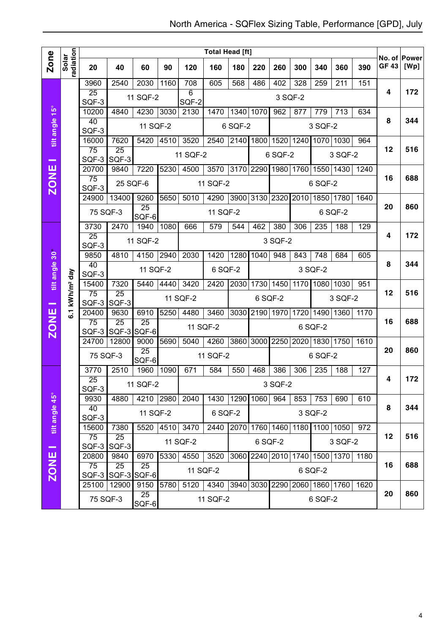|                |                        | <b>Total Head [ft]</b>   |                          |                          |      |            |             |           |                |         |      |         |                          |                                                | No. of Power |      |
|----------------|------------------------|--------------------------|--------------------------|--------------------------|------|------------|-------------|-----------|----------------|---------|------|---------|--------------------------|------------------------------------------------|--------------|------|
| Zone           | radiation<br>Solar     | 20                       | 40                       | 60                       | 90   | 120        | 160         | 180       | 220            | 260     | 300  | 340     | 360                      | 390                                            | <b>GF 43</b> | [Wp] |
|                |                        | 3960                     | 2540                     | 2030                     | 1160 | 708        | 605         | 568       | 486            | 402     | 328  | 259     | 211                      | 151                                            |              |      |
|                |                        | 25<br>SQF-3              |                          | 11 SQF-2                 |      | 6<br>SQF-2 |             |           |                | 3 SQF-2 |      |         |                          |                                                | 4            | 172  |
|                |                        | 10200                    | 4840                     | 4230                     | 3030 | 2130       | 1470        | 1340      | 1070           | 962     | 877  | 779     | 713                      | 634                                            |              |      |
| tilt angle 15° |                        | 40                       |                          | 11 SQF-2                 |      |            |             | 6 SQF-2   |                |         |      | 3 SQF-2 |                          |                                                | 8            | 344  |
|                |                        | SQF-3<br>16000           | 7620                     | 5420                     | 4510 | 3520       | 2540        | 2140      | 1800           | 1520    | 1240 | 1070    | 1030                     | 964                                            |              |      |
|                |                        | $\overline{75}$          | $\overline{25}$          |                          |      |            |             |           |                |         |      |         |                          |                                                | 12           | 516  |
| -              |                        | SQF-3                    | SQF-3                    |                          |      | 11 SQF-2   |             |           |                | 6 SQF-2 |      |         | 3 SQF-2                  |                                                |              |      |
|                |                        | 20700                    | 9840                     | 7220                     | 5230 | 4500       | 3570        | 3170 2290 |                | 1980    | 1760 |         | 1550 1430                | 1240                                           |              |      |
| <b>ZONE</b>    |                        | $\overline{75}$<br>SQF-3 |                          | 25 SQF-6                 |      |            | 11 SQF-2    |           |                |         |      | 6 SQF-2 |                          |                                                | 16           | 688  |
|                |                        | 24900                    | 13400                    | 9260                     | 5650 | 5010       | 4290        | 3900      | 3130 2320      |         | 2010 | 1850    | 1780                     | 1640                                           |              |      |
|                |                        | 75 SQF-3                 |                          | $\overline{25}$<br>SQF-6 |      |            | 11 SQF-2    |           |                |         |      |         | 6 SQF-2                  |                                                | 20           | 860  |
|                |                        | 3730                     | 2470                     | 1940                     | 1080 | 666        | 579         | 544       | 462            | 380     | 306  | 235     | 188                      | 129                                            |              |      |
|                |                        | $\overline{25}$          |                          | 11 SQF-2                 |      |            |             |           |                | 3 SQF-2 |      |         |                          |                                                | 4            | 172  |
|                |                        | SQF-3                    |                          |                          |      |            |             |           |                |         |      |         |                          |                                                |              |      |
|                |                        | 9850<br>40               | 4810                     | 4150                     | 2940 | 2030       | 1420        | 1280      | 1040           | 948     | 843  | 748     | 684                      | 605                                            | 8            | 344  |
| tilt angle 30° |                        | SQF-3                    |                          | 11 SQF-2                 |      |            | 6 SQF-2     |           |                |         |      | 3 SQF-2 |                          |                                                |              |      |
|                |                        | 15400                    | 7320                     | 5440                     | 4440 | 3420       | 2420        | 2030      | 1730           | 1450    | 1170 | 1080    | 1030                     | 951                                            |              |      |
|                | kWh/m <sup>2</sup> day | 75<br>SQF-3              | $\overline{25}$<br>SQF-3 |                          |      | 11 SQF-2   |             |           | 6 SQF-2        |         |      |         | 3 SQF-2                  |                                                | 12           | 516  |
| -              | $\overline{6}$ .       | 20400                    | 9630                     | 6910                     | 5250 | 4480       | 3460        | 3030      | 2190 1970      |         | 1720 | 1490    | 1360                     | 1170                                           |              |      |
| <b>ZONE</b>    |                        | $\overline{75}$          | $\overline{25}$          | 25                       |      | 11 SQF-2   |             |           |                |         |      | 6 SQF-2 |                          |                                                | 16           | 688  |
|                |                        | SQF-3                    | SQF-3 SQF-6              |                          |      |            |             |           |                |         |      |         |                          |                                                |              |      |
|                |                        | 24700                    | 12800                    | 9000                     | 5690 | 5040       | 4260        | 3860      | 3000           | 2250    | 2020 | 1830    | 1750                     | 1610                                           | 20           | 860  |
|                |                        | 75 SQF-3                 |                          | $\overline{25}$<br>SQF-6 |      |            | 11 SQF-2    |           |                |         |      | 6 SQF-2 |                          |                                                |              |      |
|                |                        | 3770                     | 2510                     | 1960                     | 1090 | 671        | 584         | 550       | 468            | 386     | 306  | 235     | 188                      | 127                                            |              |      |
|                |                        | $\overline{25}$<br>SQF-3 |                          | 11 SQF-2                 |      |            |             |           |                | 3 SQF-2 |      |         |                          |                                                | 4            | 172  |
|                |                        | 9930                     | 4880                     | 4210 2980                |      | 2040       | 1430   1290 |           | 1060 964       |         | 853  | 753     | 690                      | 610                                            |              |      |
| tilt angle 45° |                        | 40                       |                          | 11 SQF-2                 |      |            | 6 SQF-2     |           |                |         |      | 3 SQF-2 |                          |                                                | 8            | 344  |
|                |                        | SQF-3                    |                          |                          |      |            |             |           |                |         |      |         |                          |                                                |              |      |
|                |                        | 15600<br>75              | 7380<br>$\overline{25}$  | 5520                     | 4510 | 3470       | 2440        |           | 2070 1760 1460 |         |      |         | 1180 1100 1050           | 972                                            | 12           | 516  |
| -              |                        | SQF-3<br>SQF-3           |                          |                          |      | 11 SQF-2   |             |           |                | 6 SQF-2 |      |         | 3 SQF-2                  |                                                |              |      |
|                | 20800<br>9840          |                          |                          | 6970                     |      | 5330 4550  | 3520        | 3060      |                |         |      |         | 2240 2010 1740 1500 1370 | $\overline{1180}$                              |              |      |
| <b>ZONE</b>    |                        | $\overline{75}$          | 25                       | 25                       |      | 11 SQF-2   |             |           |                |         |      | 6 SQF-2 |                          |                                                | 16           | 688  |
|                |                        | SQF-3<br>25100           | SQF-3 SQF-6<br>12900     | 9150                     | 5780 | 5120       | 4340        |           |                |         |      |         |                          | 3940   3030   2290   2060   1860   1760   1620 |              |      |
|                |                        | 75 SQF-3                 |                          | 25                       |      |            | 11 SQF-2    |           |                |         |      |         |                          |                                                | 20           | 860  |
|                |                        |                          |                          | SQF-6                    |      |            |             |           |                |         |      | 6 SQF-2 |                          |                                                |              |      |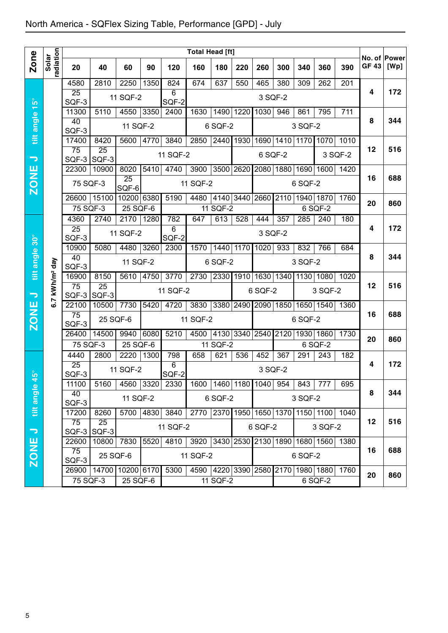## North America - SQFlex Sizing Table, Performance [GPD] - July

|                               |                          |                                   |                          |                          |      |                                    | <b>Total Head [ft]</b>                  |           |      |                     |                          |           |         |                                    |             |                      |
|-------------------------------|--------------------------|-----------------------------------|--------------------------|--------------------------|------|------------------------------------|-----------------------------------------|-----------|------|---------------------|--------------------------|-----------|---------|------------------------------------|-------------|----------------------|
| <b>Zone</b>                   | radiation<br>Solar       | 20                                | 40                       | 60                       | 90   | 120                                | 160                                     | 180       | 220  | 260                 | 300                      | 340       | 360     | 390                                | <b>GF43</b> | No. of Power<br>[Wp] |
|                               |                          | 4580                              | 2810                     | 2250                     | 1350 | 824                                | 674                                     | 637       | 550  | 465                 | 380                      | 309       | 262     | 201                                |             |                      |
|                               |                          | $\overline{25}$<br>SQF-3          |                          | 11 SQF-2                 |      | 6<br>SQF-2                         |                                         |           |      | 3 SQF-2             |                          |           |         |                                    | 4           | 172                  |
|                               |                          | 11300                             | 5110                     | 4550                     | 3350 | 2400                               | 1630                                    | 1490      | 1220 | 1030                | 946                      | 861       | 795     | 711                                |             |                      |
| tilt angle 15°                |                          | 40<br>SQF-3                       |                          | 11 SQF-2                 |      |                                    |                                         | 6 SQF-2   |      |                     |                          | 3 SQF-2   |         |                                    | 8           | 344                  |
|                               |                          | 17400                             | 8420                     | 5600                     | 4770 | 3840                               | 2850                                    | 2440      | 1930 | 1690                | 1410                     | 1170      | 1070    | 1010                               |             |                      |
| $\overline{\phantom{0}}$      |                          | $\overline{75}$<br>SQF-3          | $\overline{25}$<br>SQF-3 |                          |      | 11 SQF-2                           |                                         |           |      | 6 SQF-2             |                          |           |         | 3 SQF-2                            | 12          | 516                  |
|                               |                          | 22300                             | 10900                    | 8020                     | 5410 | 4740                               | 3900                                    | 3500 2620 |      |                     | 2080 1880 1690           |           | 1600    | 1420                               |             |                      |
| <b>ZONE</b>                   |                          | 75 SQF-3                          |                          | $\overline{25}$<br>SQF-6 |      |                                    | 11 SQF-2                                |           |      |                     |                          | 6 SQF-2   |         |                                    | 16          | 688                  |
|                               |                          | 26600                             | 15100                    | 10200 6380               |      | 5190                               | 4480                                    |           |      | 4140 3440 2660 2110 |                          | 1940 1870 |         | 1760                               | 20          | 860                  |
|                               |                          | 75 SQF-3                          |                          | 25 SQF-6                 |      |                                    |                                         | 11 SQF-2  |      |                     |                          |           | 6 SQF-2 |                                    |             |                      |
|                               |                          | 4360<br>25                        | 2740                     | 2170                     | 1280 | 782<br>6                           | 647                                     | 613       | 528  | 444                 | 357                      | 285       | 240     | 180                                | 4           | 172                  |
|                               |                          | SQF-3                             | 11 SQF-2<br>4480<br>5080 |                          |      |                                    |                                         |           |      | 3 SQF-2             |                          |           |         |                                    |             |                      |
|                               |                          | 10900                             |                          |                          | 3260 | 2300                               | 1570                                    | 1440      | 1170 | 1020                | 933                      | 832       | 766     | 684                                |             |                      |
| tilt angle 30°                |                          | 40<br>SQF-3                       |                          | 11 SQF-2                 |      |                                    |                                         | 6 SQF-2   |      |                     |                          | 3 SQF-2   |         |                                    | 8           | 344                  |
|                               |                          | 16900                             | 8150                     | 5610                     | 4750 | 3770                               | 2730                                    | 2330      |      | 1910 1630 1340      |                          | 1130      | 1080    | 1020                               |             |                      |
| $\overline{\phantom{0}}$      | 7 kWh/m <sup>2</sup> day | 75<br>SQF-3                       | $\overline{25}$<br>SQF-3 |                          |      | 11 SQF-2                           |                                         |           |      | 6 SQF-2             |                          |           | 3 SQF-2 |                                    | 12          | 516                  |
|                               |                          | 22100                             | 10500                    | 7730                     | 5420 | 4720                               | 3830                                    | 3380      | 2490 |                     | 2090 1850                | 1650      | 1540    | 1360                               |             |                      |
| <b>ZONE</b>                   |                          | 75<br>SQF-3                       | 25 SQF-6                 |                          |      |                                    | 11 SQF-2                                |           |      |                     |                          | 6 SQF-2   |         |                                    | 16          | 688                  |
|                               |                          | 26400                             | 14500                    | 9940                     | 6080 | 5210                               | 4500                                    | 4130      |      |                     | 3340 2540 2120 1930 1860 |           |         | 1730                               | 20          | 860                  |
|                               |                          | 75 SQF-3                          |                          | $25$ SQF-6               |      |                                    |                                         | 11 SQF-2  |      |                     |                          |           | 6 SQF-2 |                                    |             |                      |
|                               |                          | 4440<br>$\overline{25}$           | 2800                     | 2220                     | 1300 | 798<br>$\overline{6}$              | 658                                     | 621       | 536  | 452                 | 367                      | 291       | 243     | 182                                | 4           | 172                  |
| $\overset{\circ}{\mathbf{5}}$ |                          | SQF-3                             |                          | 11 SQF-2                 |      | SQF-2                              |                                         |           |      | 3 SQF-2             |                          |           |         |                                    |             |                      |
| s                             |                          | 11100                             | 5160                     | 4560 3320                |      | 2330                               | 1600   1460   1180   1040   954         |           |      |                     |                          | 843       | 777     | 695                                |             |                      |
| tilt angle                    |                          | 40<br>SQF-3                       |                          | 11 SQF-2                 |      |                                    |                                         | 6 SQF-2   |      |                     |                          | 3 SQF-2   |         |                                    | 8           | 344                  |
|                               |                          | 17200                             | 8260                     | 5700 4830                |      | 3840                               | 2770 2370 1950 1650 1370 1150 1100 1040 |           |      |                     |                          |           |         |                                    |             |                      |
| $\overline{\phantom{m}}$      |                          | 75<br>SQF-3 SQF-3                 | 25                       |                          |      | 11 SQF-2                           |                                         |           |      | 6 SQF-2             |                          |           | 3 SQF-2 |                                    | 12          | 516                  |
|                               |                          | 22600                             | 10800                    | 7830                     | 5520 | 4810                               | 3920                                    |           |      |                     |                          |           |         | 3430 2530 2130 1890 1680 1560 1380 |             |                      |
| ZONE                          |                          | $\overline{75}$<br>SQF-3          | 25 SQF-6                 |                          |      |                                    | 11 SQF-2                                |           |      |                     |                          | 6 SQF-2   |         |                                    | 16          | 688                  |
|                               |                          | 14700 10200 6170<br>5300<br>26900 |                          |                          |      | 4590 4220 3390 2580 2170 1980 1880 |                                         |           |      |                     |                          |           | 1760    | 20                                 | 860         |                      |
|                               |                          | 75 SQF-3                          |                          | 25 SQF-6                 |      |                                    |                                         | 11 SQF-2  |      |                     |                          |           | 6 SQF-2 |                                    |             |                      |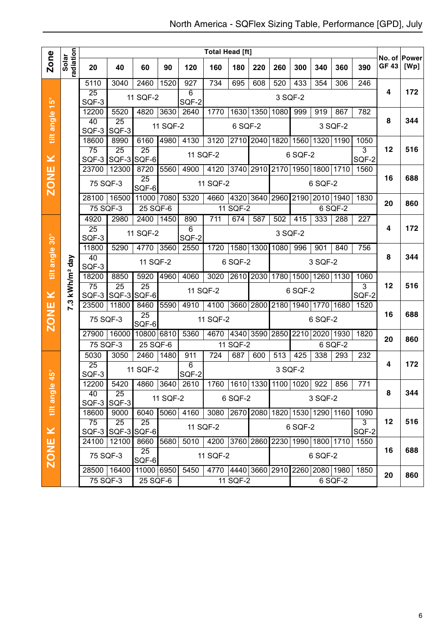|                |                                         |                                 |                         |                     |          |            | <b>Total Head [ft]</b>                 |          |                |                  |         |                    |           |            |              |                      |
|----------------|-----------------------------------------|---------------------------------|-------------------------|---------------------|----------|------------|----------------------------------------|----------|----------------|------------------|---------|--------------------|-----------|------------|--------------|----------------------|
| Zone           | radiation<br>Solar                      | 20                              | 40                      | 60                  | 90       | 120        | 160                                    | 180      | 220            | 260              | 300     | 340                | 360       | 390        | <b>GF 43</b> | No. of Power<br>[Wp] |
|                |                                         | 5110                            | 3040                    | 2460                | 1520     | 927        | 734                                    | 695      | 608            | 520              | 433     | 354                | 306       | 246        |              |                      |
| $15^{\circ}$   |                                         | 25<br>SQF-3                     |                         | 11 SQF-2            |          | 6<br>SQF-2 |                                        |          |                | 3 SQF-2          |         |                    |           |            | 4            | 172                  |
|                |                                         | 12200                           | 5520                    | 4820                | 3630     | 2640       | 1770                                   | 1630     | 1350           | 1080             | 999     | 919                | 867       | 782        |              |                      |
| tilt angle     |                                         | 40                              | $\overline{25}$         |                     | 11 SQF-2 |            |                                        | 6 SQF-2  |                |                  |         |                    | 3 SQF-2   |            | 8            | 344                  |
|                |                                         | SQF-3                           | SQF-3                   |                     |          |            |                                        |          |                |                  |         |                    |           |            |              |                      |
|                |                                         | 18600<br>75                     | 8990<br>$\overline{25}$ | 6160<br>25          | 4980     | 4130       | 3120                                   |          | 2710 2040      | 1820             | 1560    | 1320               | 1190      | 1050<br>3  | 12           | 516                  |
| ×              |                                         | SQF-3                           |                         | SQF-3 SQF-6         |          | 11 SQF-2   |                                        |          |                |                  | 6 SQF-2 |                    |           | SQF-2      |              |                      |
|                |                                         | 23700                           | 12300                   | 8720                | 5560     | 4900       | 4120                                   |          | 3740 2910 2170 |                  | 1950    |                    | 1800 1710 | 1560       |              |                      |
| <b>ZONE</b>    |                                         | 75 SQF-3                        |                         | 25<br>SQF-6         |          |            | 11 SQF-2                               |          |                |                  |         | 6 SQF-2            |           |            | 16           | 688                  |
|                |                                         | 28100                           | 16500                   | 11000               | 7080     | 5320       | 4660                                   | 4320     |                | 3640 2960        | 2190    | 2010               | 1940      | 1830       |              |                      |
|                |                                         | 75 SQF-3                        |                         | $25$ SQF-6          |          |            |                                        | 11 SQF-2 |                |                  |         |                    | 6 SQF-2   |            | 20           | 860                  |
|                |                                         | 4920                            | 2980                    | 2400                | 1450     | 890        | 711                                    | 674      | 587            | 502              | 415     | 333                | 288       | 227        |              |                      |
|                |                                         | 25                              |                         | 11 SQF-2            |          | 6          |                                        |          |                | 3 SQF-2          |         |                    |           |            | 4            | 172                  |
| $\frac{1}{30}$ |                                         | SQF-3                           |                         |                     |          | SQF-2      |                                        |          |                |                  |         |                    |           |            |              |                      |
|                | 11800<br>5290<br>4770<br>40<br>11 SQF-2 |                                 |                         |                     | 3560     | 2550       | 1720                                   | 1580     | 1300           | 1080             | 996     | 901                | 840       | 756        | 8            | 344                  |
| tilt angle     | kWh/m <sup>2</sup> day                  | SQF-3                           |                         |                     |          |            |                                        | 6 SQF-2  |                |                  |         | 3 SQF-2            |           |            |              |                      |
|                |                                         | 18200                           | 8850                    | 5920                | 4960     | 4060       | 3020                                   |          | 2610 2030      | 1780             | 1500    | 1260               | 1130      | 1060       |              |                      |
|                |                                         | 75                              | $\overline{25}$         | 25                  |          | 11 SQF-2   |                                        |          |                |                  | 6 SQF-2 |                    |           | 3          | 12           | 516                  |
| ×              | 7.3                                     | SQF-3                           | SQF-3 SQF-6             |                     |          |            |                                        |          |                |                  |         |                    |           | SQF-2      |              |                      |
|                |                                         | 23500                           | 11800                   | 8460<br>25          | 5590     | 4910       | 4100                                   |          | 3660 2800 2180 |                  | 1940    | $\overline{17}$ 70 | 1680      | 1520       | 16           | 688                  |
| <b>ZONE</b>    |                                         | 75 SQF-3                        |                         | SQF-6               |          |            | 11 SQF-2                               |          |                |                  |         | 6 SQF-2            |           |            |              |                      |
|                |                                         | 27900                           | 16000                   | 10800               | 6810     | 5360       | 4670                                   |          |                | 4340 3590 2850   | 2210    |                    | 2020 1930 | 1820       | 20           | 860                  |
|                |                                         | 75 SQF-3                        |                         | 25 SQF-6            |          |            |                                        | 11 SQF-2 |                |                  |         |                    | 6 SQF-2   |            |              |                      |
|                |                                         | 5030                            | 3050                    | 2460                | 1480     | 911        | $\overline{724}$                       | 687      | 600            | $\overline{513}$ | 425     | 338                | 293       | 232        |              |                      |
|                |                                         | 25                              |                         | 11 SQF-2            |          | 6          |                                        |          |                | 3 SQF-2          |         |                    |           |            | 4            | 172                  |
| $45^{\circ}$   |                                         | SQF-3<br>12200                  |                         | 5420 4860 3640 2610 |          | SQF-2      | 1760   1610   1330   1100   1020   922 |          |                |                  |         |                    | 856       | 771        |              |                      |
| tilt angle     |                                         | 40                              | 25                      |                     |          |            |                                        |          |                |                  |         |                    |           |            | 8            | 344                  |
|                |                                         | SQF-3                           | SQF-3                   |                     | 11 SQF-2 |            |                                        | 6 SQF-2  |                |                  |         | 3 SQF-2            |           |            |              |                      |
|                |                                         | 18600                           | 9000                    | 6040                |          | 5060 4160  | 3080 2670 2080 1820 1530 1290 1160     |          |                |                  |         |                    |           | 1090       |              |                      |
| ×              |                                         | 75<br>SQF-3 SQF-3 SQF-6         | 25                      | 25                  |          |            | 11 SQF-2                               |          |                |                  | 6 SQF-2 |                    |           | 3<br>SQF-2 | 12           | 516                  |
|                |                                         |                                 | 24100   12100           | 8660                | 5680     | 5010       | 4200 3760 2860 2230 1990 1800 1710     |          |                |                  |         |                    |           | 1550       |              |                      |
|                |                                         |                                 |                         | 25                  |          |            |                                        |          |                |                  |         |                    |           |            | 16           | 688                  |
| ZONE           |                                         | 75 SQF-3                        |                         | 11 SQF-2            |          |            |                                        |          | 6 SQF-2        |                  |         |                    |           |            |              |                      |
|                |                                         | SQF-6<br>28500 16400 11000 6950 |                         |                     |          | 5450       | 4770 4440 3660 2910 2260 2080 1980     |          |                |                  |         |                    |           | 1850       | 20           | 860                  |
|                |                                         | 75 SQF-3                        |                         | 25 SQF-6            |          |            |                                        | 11 SQF-2 |                |                  |         |                    | 6 SQF-2   |            |              |                      |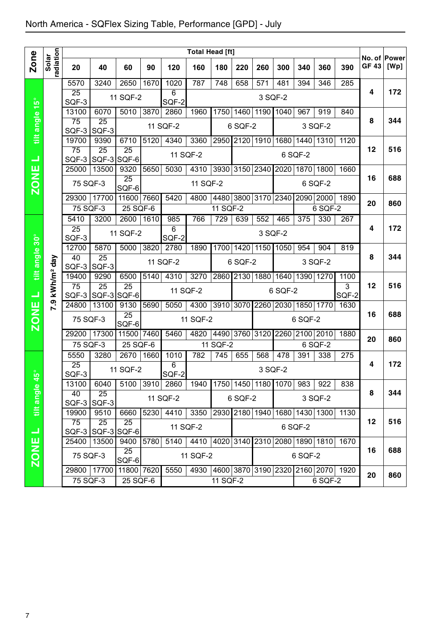|                |                    |                                                 |                                                         |                          |      |            | <b>Total Head [ft]</b>                  |          |                          |           |         |           |                               |            |              | No. of Power |
|----------------|--------------------|-------------------------------------------------|---------------------------------------------------------|--------------------------|------|------------|-----------------------------------------|----------|--------------------------|-----------|---------|-----------|-------------------------------|------------|--------------|--------------|
| <b>Zone</b>    | radiation<br>Solar | 20                                              | 40                                                      | 60                       | 90   | 120        | 160                                     | 180      | 220                      | 260       | 300     | 340       | 360                           | 390        | <b>GF 43</b> | [Wp]         |
|                |                    | 5570                                            | 3240                                                    | 2650                     | 1670 | 1020       | 787                                     | 748      | 658                      | 571       | 481     | 394       | 346                           | 285        |              |              |
| $15^{\circ}$   |                    | $\overline{25}$<br>SQF-3                        |                                                         | 11 SQF-2                 |      | 6<br>SQF-2 |                                         |          |                          | 3 SQF-2   |         |           |                               |            | 4            | 172          |
|                |                    | 13100                                           | 6070                                                    | 5010                     | 3870 | 2860       | 1960                                    | 1750     | 1460                     | 1190      | 1040    | 967       | 919                           | 840        |              |              |
| tilt angle     |                    | $\overline{75}$<br>SQF-3 SQF-3                  | $\overline{25}$                                         |                          |      | 11 SQF-2   |                                         |          | 6 SQF-2                  |           |         |           | 3 SQF-2                       |            | 8            | 344          |
|                |                    | 19700                                           | 9390                                                    | 6710                     | 5120 | 4340       | 3360                                    | 2950     |                          | 2120 1910 | 1680    | 1440      | 1310                          | 1120       |              |              |
| 山              |                    | 75<br>SQF-3                                     | 25<br>SQF-3 SQF-6                                       | $\overline{25}$          |      | 11 SQF-2   |                                         |          |                          |           |         | 6 SQF-2   |                               |            | 12           | 516          |
|                |                    | 25000                                           | 13500                                                   | 9320                     | 5650 | 5030       | 4310                                    |          | 3930 3150 2340 2020      |           |         | 1870      | 1800                          | 1660       |              |              |
| <b>ZONE</b>    |                    | 75 SQF-3                                        |                                                         | $\overline{25}$<br>SQF-6 |      |            | 11 SQF-2                                |          |                          |           |         |           | 6 SQF-2                       |            | 16           | 688          |
|                |                    | 29300                                           | 17700                                                   | 11600 7660               |      | 5420       | 4800                                    | 4480     | 3800 3170 2340           |           |         |           | 2090 2000                     | 1890       | 20           | 860          |
|                |                    | 75 SQF-3                                        |                                                         | $25$ SQF-6               |      |            |                                         | 11 SQF-2 |                          |           |         |           | 6 SQF-2                       |            |              |              |
|                |                    | 5410                                            | 3200                                                    | 2600                     | 1610 | 985        | 766                                     | 729      | 639                      | 552       | 465     | 375       | 330                           | 267        |              |              |
|                |                    | $\overline{25}$<br>SQF-3                        |                                                         | 11 SQF-2                 |      | 6<br>SQF-2 |                                         |          |                          | 3 SQF-2   |         |           |                               |            | 4            | 172          |
|                |                    | 12700                                           | 5000<br>5870<br>3820<br>40<br>25                        |                          |      | 2780       | 1890                                    | 1700     | 1420                     | 1150      | 1050    | 954       | 904                           | 819        |              |              |
| tilt angle 30° | day                | SQF-3<br>SQF-3<br>19400<br>9290<br>6500<br>5140 |                                                         |                          |      | 11 SQF-2   |                                         |          | 6 SQF-2                  |           |         |           | 3 SQF-2                       |            | 8            | 344          |
|                |                    |                                                 |                                                         |                          |      | 4310       | 3270                                    | 2860     | 2130                     | 1880      | 1640    | 1390      | 1270                          | 1100       |              |              |
| 山              | kWh/m <sup>2</sup> | SQF-3                                           | 75<br>$\overline{25}$<br>$\overline{25}$<br>SQF-3 SQF-6 |                          |      |            | 11 SQF-2                                |          |                          |           | 6 SQF-2 |           |                               | 3<br>SQF-2 | 12           | 516          |
|                | <u>၈</u>           | 24800                                           | 13100                                                   | 9130                     | 5690 | 5050       | 4300                                    | 3910     | 3070 2260 2030 1850 1770 |           |         |           |                               | 1630       |              |              |
| <b>ZONE</b>    |                    | 75 SQF-3                                        |                                                         | $\overline{25}$<br>SQF-6 |      |            | 11 SQF-2                                |          |                          |           |         | 6 SQF-2   |                               |            | 16           | 688          |
|                |                    | 29200                                           | 17300                                                   | 11500                    | 7460 | 5460       | 4820                                    | 4490     | 3760 3120                |           | 2260    | 2100 2010 |                               | 1880       | 20           | 860          |
|                |                    | 75 SQF-3                                        |                                                         | 25 SQF-6                 |      |            |                                         | 11 SQF-2 |                          |           |         |           | 6 SQF-2                       |            |              |              |
|                |                    | 5550                                            | 3280                                                    | 2670                     | 1660 | 1010       | 782                                     | 745      | 655                      | 568       | 478     | 391       | 338                           | 275        |              |              |
| $45^{\circ}$   |                    | 25<br>SQF-3                                     |                                                         | 11 SQF-2                 |      | 6<br>SQF-2 |                                         |          |                          | 3 SQF-2   |         |           |                               |            | 4            | 172          |
|                |                    | 13100                                           | 6040                                                    | 5100                     | 3910 | 2860       | 1940                                    |          | 1750 1450 1180 1070 983  |           |         |           | 922                           | 838        |              |              |
| tilt angle     |                    |                                                 | 40<br>$\overline{25}$<br>11 SQF-2<br>SQF-3<br>SQF-3     |                          |      |            |                                         |          | 6 SQF-2                  |           |         |           | 3 SQF-2                       |            | 8            | 344          |
|                |                    | 19900                                           | 9510                                                    | 6660                     | 5230 | 4410       | 3350                                    |          |                          |           |         |           | 2930 2180 1940 1680 1430 1300 | 1130       |              |              |
| ᆜ              |                    |                                                 | 75<br>25<br>25<br>SQF-3 SQF-3 SQF-6                     |                          |      |            | 11 SQF-2                                |          |                          |           |         | 6 SQF-2   |                               |            | 12           | 516          |
|                |                    | 25400                                           | 13500                                                   | 9400                     | 5780 | 5140       | 4410                                    |          |                          |           |         |           | 4020 3140 2310 2080 1890 1810 | 1670       |              |              |
| ZONE           |                    | $\overline{25}$<br>75 SQF-3<br>SQF-6            |                                                         |                          |      |            | 11 SQF-2                                |          |                          |           |         | 6 SQF-2   |                               |            | 16           | 688          |
|                |                    | 29800 17700                                     |                                                         | 11800 7620               |      | 5550       | 4930 4600 3870 3190 2320 2160 2070 1920 |          |                          |           |         |           |                               |            | 20           | 860          |
|                |                    | 75 SQF-3                                        |                                                         | 25 SQF-6                 |      |            |                                         | 11 SQF-2 |                          |           |         |           | 6 SQF-2                       |            |              |              |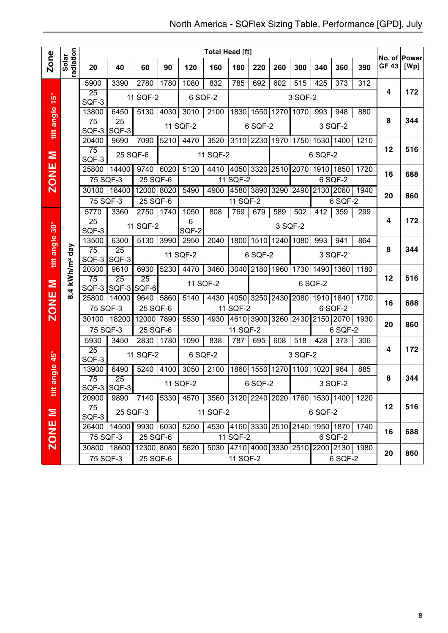|                |                                          |                                |                              |             |      |                         | <b>Total Head [ft]</b>                  |          |                     |           |         |           |                  |      |              | No. of Power |
|----------------|------------------------------------------|--------------------------------|------------------------------|-------------|------|-------------------------|-----------------------------------------|----------|---------------------|-----------|---------|-----------|------------------|------|--------------|--------------|
| <b>Zone</b>    | radiation<br>Solar                       | 20                             | 40                           | 60          | 90   | 120                     | 160                                     | 180      | 220                 | 260       | 300     | 340       | 360              | 390  | <b>GF 43</b> | [Wp]         |
|                |                                          | 5900                           | 3390                         | 2780        | 1780 | 1080                    | 832                                     | 785      | 692                 | 602       | 515     | 425       | 373              | 312  |              |              |
| $15^{\circ}$   |                                          | $\overline{25}$<br>SQF-3       |                              | 11 SQF-2    |      | 6 SQF-2                 |                                         |          |                     |           | 3 SQF-2 |           |                  |      | 4            | 172          |
|                |                                          | 13800                          | 6450                         | 5130        | 4030 | 3010                    | 2100                                    | 1830     | 1550                | 1270      | 1070    | 993       | 948              | 880  |              |              |
| tilt angle     |                                          | 75<br>SQF-3                    | 25<br>SQF-3                  |             |      | 11 SQF-2                |                                         |          | 6 SQF-2             |           |         |           | 3 SQF-2          |      | 8            | 344          |
|                |                                          | 20400                          | 9690                         | 7090        | 5210 | 4470                    | 3520                                    |          | 3110 2230 1970      |           | 1750    | 1530 1400 |                  | 1210 |              |              |
| Σ              |                                          | 75<br>SQF-3                    | 25 SQF-6                     |             |      |                         | 11 SQF-2                                |          |                     |           |         | 6 SQF-2   |                  |      | 12           | 516          |
| <b>ZONE</b>    |                                          | 25800                          | 14400                        | 9740        | 6020 | 5120                    | 4410                                    |          | 4050 3320 2510      |           | 2070    | 1910 1850 |                  | 1720 | 16           | 688          |
|                |                                          | 75 SQF-3                       |                              | 25 SQF-6    |      |                         |                                         | 11 SQF-2 |                     |           |         |           | 6 SQF-2          |      |              |              |
|                |                                          | 30100                          | 18400                        | 12000 8020  |      | 5490                    | 4900                                    |          | 4580 3890 3290 2490 |           |         | 2130 2060 |                  | 1940 | 20           | 860          |
|                |                                          | 75 SQF-3                       |                              | 25 SQF-6    |      |                         |                                         | 11 SQF-2 |                     |           |         |           | 6 SQF-2          |      |              |              |
|                |                                          | 5770                           | 3360                         | 2750        | 1740 | 1050                    | 808                                     | 769      | 679                 | 589       | 502     | 412       | 359              | 299  |              |              |
|                |                                          | 25<br>SQF-3                    |                              | 11 SQF-2    |      | $\overline{6}$<br>SQF-2 |                                         |          |                     | 3 SQF-2   |         |           |                  |      | 4            | 172          |
|                |                                          | 13500                          | 6300                         | 5130        | 3990 | 2950                    | 2040                                    |          | 1800 1510           | 1240      | 1080    | 993       | 941              | 864  |              |              |
| tilt angle 30° |                                          | $\overline{75}$                | 25                           |             |      |                         |                                         |          |                     |           |         |           |                  |      | 8            | 344          |
|                |                                          | SQF-3                          | SQF-3                        |             |      | 11 SQF-2                |                                         |          | 6 SQF-2             |           |         |           | 3 SQF-2          |      |              |              |
|                |                                          | 20300                          | 9610                         | 6930        | 5230 | 4470                    | 3460                                    |          | 3040 2180 1960      |           | 1730    | 1490      | 1360             | 1180 |              |              |
| Σ              | kWh/m <sup>2</sup> day<br>$\overline{8}$ | $\overline{75}$<br>SQF-3 SQF-3 | $\overline{25}$              | 25<br>SQF-6 |      | 11 SQF-2                |                                         |          |                     |           |         | 6 SQF-2   |                  |      | 12           | 516          |
|                |                                          | 25800                          | 14000                        | 9640        | 5860 | 5140                    | 4430                                    |          | 4050 3250 2430      |           | 2080    | 1910 1840 |                  | 1700 | 16           | 688          |
| <b>ZONE</b>    |                                          | 75 SQF-3                       |                              | 25 SQF-6    |      |                         |                                         | 11 SQF-2 |                     |           |         |           | 6 SQF-2          |      |              |              |
|                |                                          | 30100                          | 18200                        | 12000       | 7890 | 5530                    | 4930                                    |          | 4610 3900           | 3260 2430 |         | 2150 2070 |                  | 1930 | 20           | 860          |
|                |                                          | 75 SQF-3                       |                              | $25$ SQF-6  |      |                         |                                         | 11 SQF-2 |                     |           |         |           | 6 SQF-2          |      |              |              |
|                |                                          | 5930                           | 3450                         | 2830        | 1780 | 1090                    | 838                                     | 787      | 695                 | 608       | 518     | 428       | $\overline{373}$ | 306  |              |              |
| angle 45°      |                                          | $\overline{25}$<br>SQF-3       |                              | 11 SQF-2    |      | 6 SQF-2                 |                                         |          |                     |           | 3 SQF-2 |           |                  |      | 4            | 172          |
|                |                                          | 13900                          | 6490                         | 5240        | 4100 | 3050                    | 2100                                    | 1860     | 1550                | 1270      | 1100    | 1020      | 964              | 885  |              |              |
| $\equiv$       |                                          | $\overline{75}$<br>SQF-3 SQF-3 | $\overline{25}$              |             |      | 11 SQF-2                |                                         |          | 6 SQF-2             |           |         |           | 3 SQF-2          |      | 8            | 344          |
|                |                                          | 20900                          | 9890                         | 7140        |      | 5330 4570               | 3560 3120 2240 2020 1760 1530 1400 1220 |          |                     |           |         |           |                  |      |              |              |
| $\geq$         |                                          | $\overline{75}$<br>SQF-3       | 25 SQF-3                     |             |      |                         | 11 SQF-2                                |          |                     |           |         | 6 SQF-2   |                  |      | 12           | 516          |
| <b>ZONE</b>    |                                          | 26400 14500 9930 6030          |                              |             |      | 5250                    | 4530 4160 3330 2510 2140 1950 1870 1740 |          |                     |           |         |           |                  |      | 16           | 688          |
|                |                                          | 75 SQF-3<br>25 SQF-6           |                              |             |      |                         |                                         | 11 SQF-2 |                     |           |         |           | 6 SQF-2          |      |              |              |
|                |                                          |                                | 30800   18600   12300   8080 |             |      | 5620                    | 5030 4710 4000 3330 2510 2200 2130 1980 |          |                     |           |         |           |                  |      | 20           | 860          |
|                |                                          | 75 SQF-3                       |                              | 25 SQF-6    |      |                         |                                         | 11 SQF-2 |                     |           |         |           | 6 SQF-2          |      |              |              |